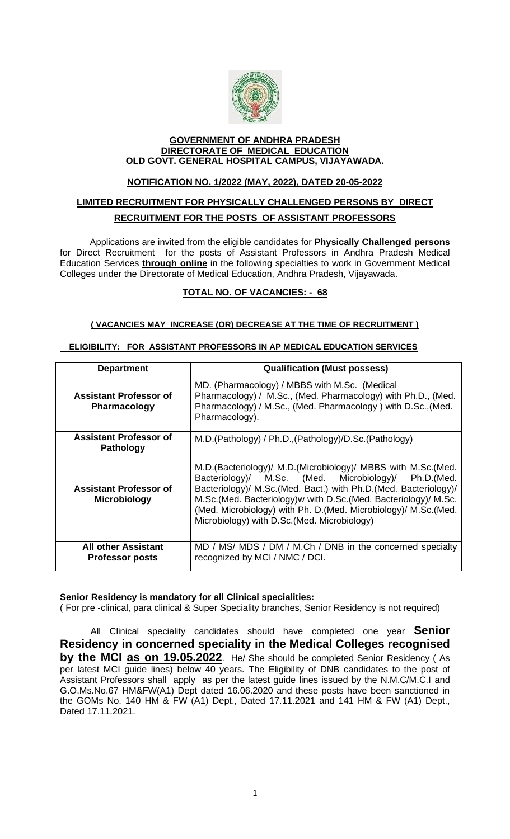

#### **GOVERNMENT OF ANDHRA PRADESH DIRECTORATE OF MEDICAL EDUCATION OLD GOVT. GENERAL HOSPITAL CAMPUS, VIJAYAWADA.**

#### **NOTIFICATION NO. 1/2022 (MAY, 2022), DATED 20-05-2022**

## **LIMITED RECRUITMENT FOR PHYSICALLY CHALLENGED PERSONS BY DIRECT RECRUITMENT FOR THE POSTS OF ASSISTANT PROFESSORS**

Applications are invited from the eligible candidates for **Physically Challenged persons** for Direct Recruitment for the posts of Assistant Professors in Andhra Pradesh Medical Education Services **through online** in the following specialties to work in Government Medical Colleges under the Directorate of Medical Education, Andhra Pradesh, Vijayawada.

## **TOTAL NO. OF VACANCIES: - 68**

#### **( VACANCIES MAY INCREASE (OR) DECREASE AT THE TIME OF RECRUITMENT )**

#### **ELIGIBILITY: FOR ASSISTANT PROFESSORS IN AP MEDICAL EDUCATION SERVICES**

| <b>Department</b>                                    | <b>Qualification (Must possess)</b>                                                                                                                                                                                                                                                                                                                                              |
|------------------------------------------------------|----------------------------------------------------------------------------------------------------------------------------------------------------------------------------------------------------------------------------------------------------------------------------------------------------------------------------------------------------------------------------------|
| <b>Assistant Professor of</b><br><b>Pharmacology</b> | MD. (Pharmacology) / MBBS with M.Sc. (Medical<br>Pharmacology) / M.Sc., (Med. Pharmacology) with Ph.D., (Med.<br>Pharmacology) / M.Sc., (Med. Pharmacology) with D.Sc., (Med.<br>Pharmacology).                                                                                                                                                                                  |
| <b>Assistant Professor of</b><br><b>Pathology</b>    | M.D.(Pathology) / Ph.D.,(Pathology)/D.Sc.(Pathology)                                                                                                                                                                                                                                                                                                                             |
| <b>Assistant Professor of</b><br><b>Microbiology</b> | M.D. (Bacteriology)/ M.D. (Microbiology)/ MBBS with M.Sc. (Med.<br>Bacteriology)/ M.Sc. (Med. Microbiology)/ Ph.D.(Med.<br>Bacteriology)/ M.Sc.(Med. Bact.) with Ph.D.(Med. Bacteriology)/<br>M.Sc.(Med. Bacteriology)w with D.Sc.(Med. Bacteriology)/ M.Sc.<br>(Med. Microbiology) with Ph. D. (Med. Microbiology)/ M.Sc. (Med.<br>Microbiology) with D.Sc. (Med. Microbiology) |
| <b>All other Assistant</b><br><b>Professor posts</b> | MD / MS/ MDS / DM / M.Ch / DNB in the concerned specialty<br>recognized by MCI / NMC / DCI.                                                                                                                                                                                                                                                                                      |

#### **Senior Residency is mandatory for all Clinical specialities:**

( For pre -clinical, para clinical & Super Speciality branches, Senior Residency is not required)

 All Clinical speciality candidates should have completed one year **Senior Residency in concerned speciality in the Medical Colleges recognised by the MCI as on 19.05.2022**. He/ She should be completed Senior Residency ( As per latest MCI guide lines) below 40 years. The Eligibility of DNB candidates to the post of Assistant Professors shall apply as per the latest guide lines issued by the N.M.C/M.C.I and G.O.Ms.No.67 HM&FW(A1) Dept dated 16.06.2020 and these posts have been sanctioned in the GOMs No. 140 HM & FW (A1) Dept., Dated 17.11.2021 and 141 HM & FW (A1) Dept., Dated 17.11.2021.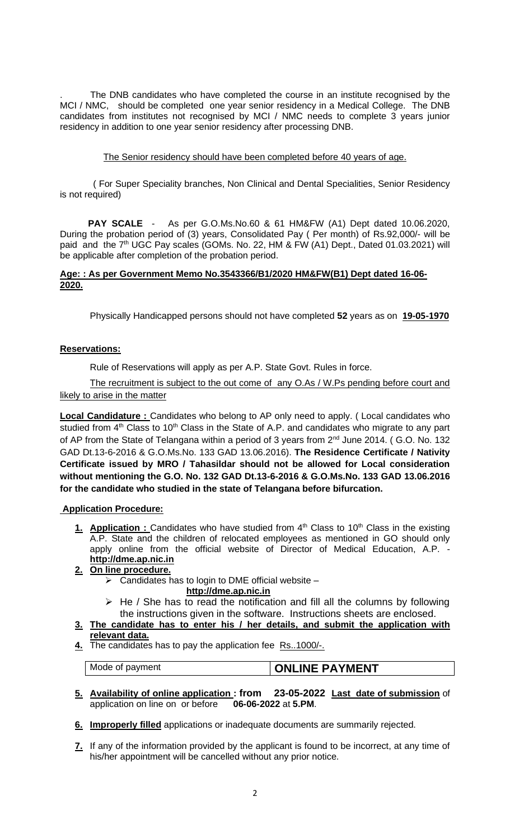The DNB candidates who have completed the course in an institute recognised by the MCI / NMC, should be completed one year senior residency in a Medical College. The DNB candidates from institutes not recognised by MCI / NMC needs to complete 3 years junior residency in addition to one year senior residency after processing DNB.

#### The Senior residency should have been completed before 40 years of age.

 ( For Super Speciality branches, Non Clinical and Dental Specialities, Senior Residency is not required)

 **PAY SCALE** - As per G.O.Ms.No.60 & 61 HM&FW (A1) Dept dated 10.06.2020, During the probation period of (3) years, Consolidated Pay ( Per month) of Rs.92,000/- will be paid and the 7<sup>th</sup> UGC Pay scales (GOMs. No. 22, HM & FW (A1) Dept., Dated 01.03.2021) will be applicable after completion of the probation period.

#### **Age: : As per Government Memo No.3543366/B1/2020 HM&FW(B1) Dept dated 16-06- 2020.**

Physically Handicapped persons should not have completed **52** years as on **19-05-1970** 

#### **Reservations:**

Rule of Reservations will apply as per A.P. State Govt. Rules in force.

The recruitment is subject to the out come of any O.As / W.Ps pending before court and likely to arise in the matter

**Local Candidature :** Candidates who belong to AP only need to apply. (Local candidates who studied from  $4<sup>th</sup>$  Class to 10<sup>th</sup> Class in the State of A.P. and candidates who migrate to any part of AP from the State of Telangana within a period of 3 years from 2<sup>nd</sup> June 2014. (G.O. No. 132 GAD Dt.13-6-2016 & G.O.Ms.No. 133 GAD 13.06.2016). **The Residence Certificate / Nativity Certificate issued by MRO / Tahasildar should not be allowed for Local consideration without mentioning the G.O. No. 132 GAD Dt.13-6-2016 & G.O.Ms.No. 133 GAD 13.06.2016 for the candidate who studied in the state of Telangana before bifurcation.**

#### **Application Procedure:**

1. **Application :** Candidates who have studied from 4<sup>th</sup> Class to 10<sup>th</sup> Class in the existing A.P. State and the children of relocated employees as mentioned in GO should only apply online from the official website of Director of Medical Education, A.P. **[http://dme.ap.nic.in](http://dme.ap.nic.in/)**

#### **2. On line procedure.**

 $\triangleright$  Candidates has to login to DME official website –

#### **[http://dme.ap.nic.in](http://dme.ap.nic.in/)**

- $\triangleright$  He / She has to read the notification and fill all the columns by following the instructions given in the software. Instructions sheets are enclosed.
- **3. The candidate has to enter his / her details, and submit the application with relevant data.**
- **4.** The candidates has to pay the application fee Rs..1000/-.

Mode of payment **CONLINE PAYMENT** 

- **5. Availability of online application : from 23-05-2022 Last date of submission** of application on line on or before **06-06-2022** at **5.PM**.
- **6. Improperly filled** applications or inadequate documents are summarily rejected.
- **7.** If any of the information provided by the applicant is found to be incorrect, at any time of his/her appointment will be cancelled without any prior notice.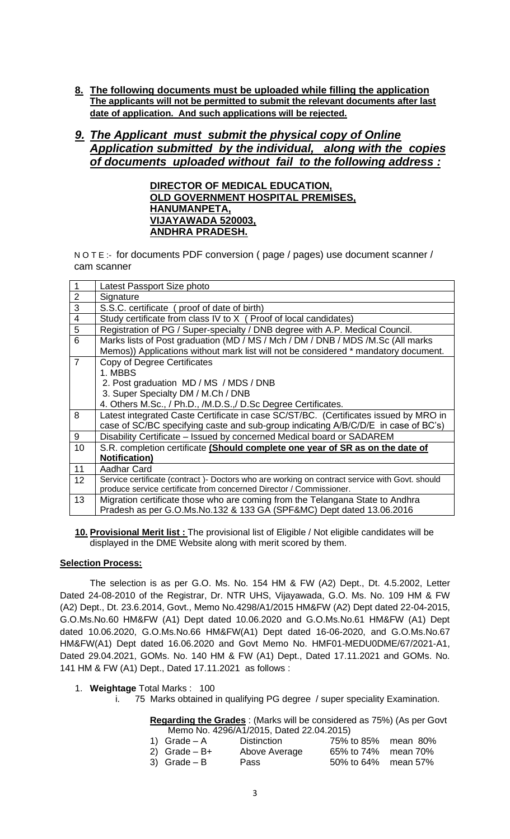**8. The following documents must be uploaded while filling the application The applicants will not be permitted to submit the relevant documents after last date of application. And such applications will be rejected.**

# *9. The Applicant must submit the physical copy of Online Application submitted by the individual, along with the copies of documents uploaded without fail to the following address :*

**DIRECTOR OF MEDICAL EDUCATION, OLD GOVERNMENT HOSPITAL PREMISES, HANUMANPETA, VIJAYAWADA 520003, ANDHRA PRADESH.**

N O T E :- for documents PDF conversion ( page / pages) use document scanner / cam scanner

| 1                 | Latest Passport Size photo                                                                     |
|-------------------|------------------------------------------------------------------------------------------------|
| $\overline{2}$    | Signature                                                                                      |
| 3                 | S.S.C. certificate (proof of date of birth)                                                    |
| $\overline{4}$    | Study certificate from class IV to X (Proof of local candidates)                               |
| $\sqrt{5}$        | Registration of PG / Super-specialty / DNB degree with A.P. Medical Council.                   |
| 6                 | Marks lists of Post graduation (MD / MS / Mch / DM / DNB / MDS / M.Sc (All marks               |
|                   | Memos)) Applications without mark list will not be considered * mandatory document.            |
| $\overline{7}$    | Copy of Degree Certificates                                                                    |
|                   | 1. MBBS                                                                                        |
|                   | 2. Post graduation MD / MS / MDS / DNB                                                         |
|                   | 3. Super Specialty DM / M.Ch / DNB                                                             |
|                   | 4. Others M.Sc., / Ph.D., /M.D.S., / D.Sc Degree Certificates.                                 |
| 8                 | Latest integrated Caste Certificate in case SC/ST/BC. (Certificates issued by MRO in           |
|                   | case of SC/BC specifying caste and sub-group indicating A/B/C/D/E in case of BC's)             |
| 9                 | Disability Certificate - Issued by concerned Medical board or SADAREM                          |
| 10                | S.R. completion certificate (Should complete one year of SR as on the date of                  |
|                   | <b>Notification)</b>                                                                           |
| 11                | Aadhar Card                                                                                    |
| $12 \overline{ }$ | Service certificate (contract) - Doctors who are working on contract service with Govt. should |
|                   | produce service certificate from concerned Director / Commissioner.                            |
| 13                | Migration certificate those who are coming from the Telangana State to Andhra                  |
|                   | Pradesh as per G.O.Ms.No.132 & 133 GA (SPF&MC) Dept dated 13.06.2016                           |

**10. Provisional Merit list :** The provisional list of Eligible / Not eligible candidates will be displayed in the DME Website along with merit scored by them.

#### **Selection Process:**

The selection is as per G.O. Ms. No. 154 HM & FW (A2) Dept., Dt. 4.5.2002, Letter Dated 24-08-2010 of the Registrar, Dr. NTR UHS, Vijayawada, G.O. Ms. No. 109 HM & FW (A2) Dept., Dt. 23.6.2014, Govt., Memo No.4298/A1/2015 HM&FW (A2) Dept dated 22-04-2015, G.O.Ms.No.60 HM&FW (A1) Dept dated 10.06.2020 and G.O.Ms.No.61 HM&FW (A1) Dept dated 10.06.2020, G.O.Ms.No.66 HM&FW(A1) Dept dated 16-06-2020, and G.O.Ms.No.67 HM&FW(A1) Dept dated 16.06.2020 and Govt Memo No. HMF01-MEDU0DME/67/2021-A1, Dated 29.04.2021, GOMs. No. 140 HM & FW (A1) Dept., Dated 17.11.2021 and GOMs. No. 141 HM & FW (A1) Dept., Dated 17.11.2021 as follows :

#### 1. **Weightage** Total Marks : 100

i. 75 Marks obtained in qualifying PG degree / super speciality Examination.

### **Regarding the Grades** : (Marks will be considered as 75%) (As per Govt

|                 | Memo No. 4296/A1/2015, Dated 22.04.2015) |                     |  |
|-----------------|------------------------------------------|---------------------|--|
| 1) Grade $-A$   | <b>Distinction</b>                       | 75% to 85% mean 80% |  |
| 2) Grade $- B+$ | Above Average                            | 65% to 74% mean 70% |  |
| 3) Grade $- B$  | Pass                                     | 50% to 64% mean 57% |  |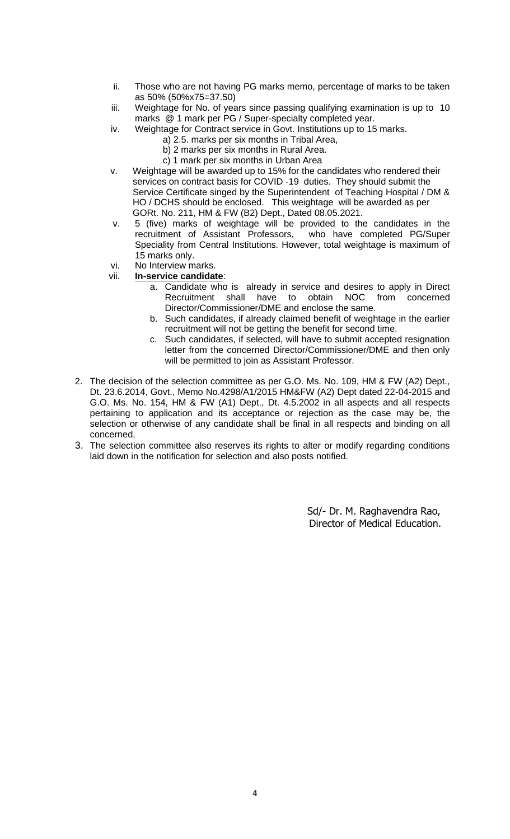- ii. Those who are not having PG marks memo, percentage of marks to be taken as 50% (50%x75=37.50)
- iii. Weightage for No. of years since passing qualifying examination is up to 10 marks @ 1 mark per PG / Super-specialty completed year.
- iv. Weightage for Contract service in Govt. Institutions up to 15 marks.
	- a) 2.5. marks per six months in Tribal Area,
	- b) 2 marks per six months in Rural Area.
	- c) 1 mark per six months in Urban Area
- v. Weightage will be awarded up to 15% for the candidates who rendered their services on contract basis for COVID -19 duties. They should submit the Service Certificate singed by the Superintendent of Teaching Hospital / DM & HO / DCHS should be enclosed. This weightage will be awarded as per GORt. No. 211, HM & FW (B2) Dept., Dated 08.05.2021.
- v. 5 (five) marks of weightage will be provided to the candidates in the recruitment of Assistant Professors, Speciality from Central Institutions. However, total weightage is maximum of 15 marks only.
- vi. No Interview marks.
- vii. **In-service candidate**:
	- a. Candidate who is already in service and desires to apply in Direct Recruitment shall have to obtain NOC from concerned Director/Commissioner/DME and enclose the same.
	- b. Such candidates, if already claimed benefit of weightage in the earlier recruitment will not be getting the benefit for second time.
	- c. Such candidates, if selected, will have to submit accepted resignation letter from the concerned Director/Commissioner/DME and then only will be permitted to join as Assistant Professor.
- 2. The decision of the selection committee as per G.O. Ms. No. 109, HM & FW (A2) Dept., Dt. 23.6.2014, Govt., Memo No.4298/A1/2015 HM&FW (A2) Dept dated 22-04-2015 and G.O. Ms. No. 154, HM & FW (A1) Dept., Dt. 4.5.2002 in all aspects and all respects pertaining to application and its acceptance or rejection as the case may be, the selection or otherwise of any candidate shall be final in all respects and binding on all concerned.
- 3. The selection committee also reserves its rights to alter or modify regarding conditions laid down in the notification for selection and also posts notified.

 Sd/- Dr. M. Raghavendra Rao, Director of Medical Education.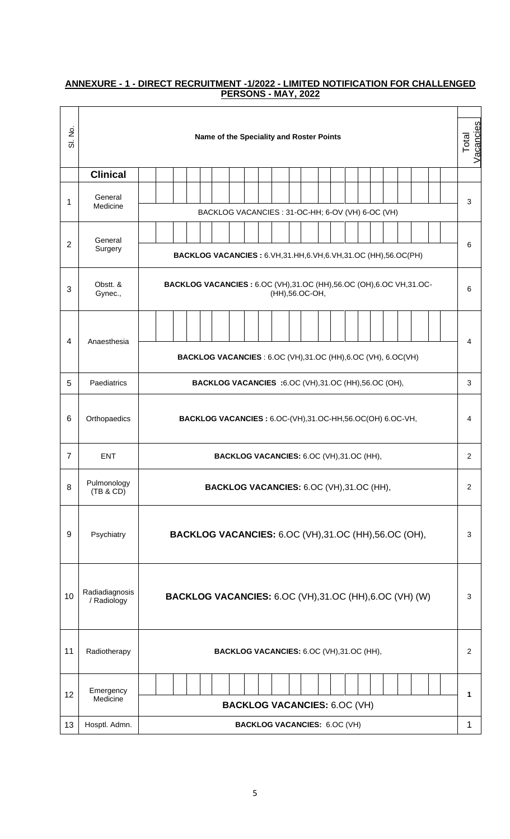# Sl. No. **Name of the Speciality and Roster Points** Total Vacancies **Clinical** 1 General Medicine <sup>3</sup> BACKLOG VACANCIES : 31-OC-HH; 6-OV (VH) 6-OC (VH) 2 General<br>Surgery Surgery<br>
BACKLOG VACANCIES : 6.VH,31.HH,6.VH,6.VH,31.OC (HH),56.OC(PH) 3 Obstt. & Gynec., **BACKLOG VACANCIES :** 6.OC (VH),31.OC (HH),56.OC (OH),6.OC VH,31.OC- C (VH),31.OC (HH),56.OC (OH),6.OC VH,31.OC-<br>(HH),56.OC-OH, 4 Anaesthesia 4 **BACKLOG VACANCIES** : 6.OC (VH),31.OC (HH),6.OC (VH), 6.OC(VH) 5 Paediatrics **BACKLOG VACANCIES :**6.OC (VH),31.OC (HH),56.OC (OH), 3 6 Orthopaedics **BACKLOG VACANCIES :** 6.OC-(VH),31.OC-HH,56.OC(OH) 6.OC-VH, 4 7 ENT **BACKLOG VACANCIES:** 6.OC (VH),31.OC (HH), 2 8 Pulmonology<br>(TB & CD) **BACKLOG VACANCIES:** 6.OC (VH),31.OC (HH), 2 9 | Psychiatry | **BACKLOG VACANCIES:** 6.OC (VH), 31.OC (HH), 56.OC (OH), | 3 10 Radiadiagnosis<br>/ Radiology **BACKLOG VACANCIES:** 6.OC (VH),31.OC (HH),6.OC (VH) (W) | 3 11 Radiotherapy **BACKLOG VACANCIES:** 6.OC (VH),31.OC (HH), 2 12 Emergency<br>Medicine Medicine **<sup>1</sup> BACKLOG VACANCIES:** 6.OC (VH) 13 | Hosptl. Admn. | **BACKLOG VACANCIES:** 6.OC (VH) | 1

## **ANNEXURE - 1 - DIRECT RECRUITMENT -1/2022 - LIMITED NOTIFICATION FOR CHALLENGED PERSONS - MAY, 2022**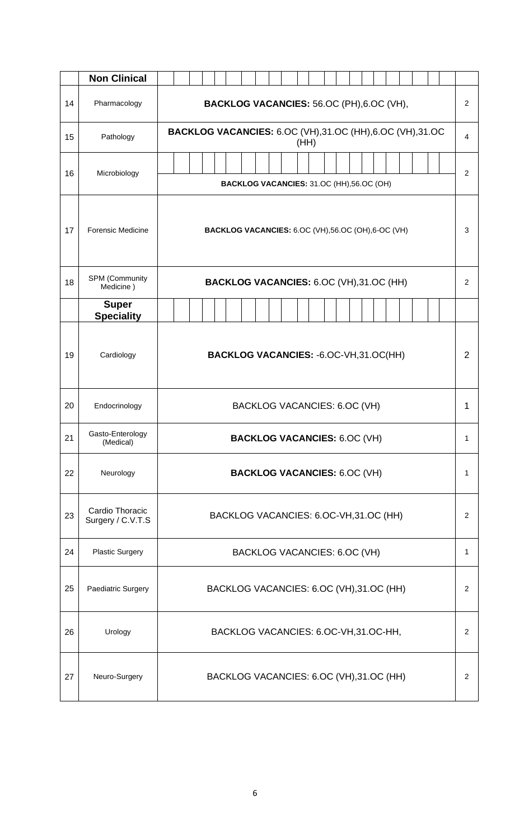|    | <b>Non Clinical</b>                  |                                           |                                                                        |  |  |  |  |  |  |  |                                         |  |  |                |   |                |                |                |  |  |  |  |  |                |
|----|--------------------------------------|-------------------------------------------|------------------------------------------------------------------------|--|--|--|--|--|--|--|-----------------------------------------|--|--|----------------|---|----------------|----------------|----------------|--|--|--|--|--|----------------|
| 14 | Pharmacology                         | BACKLOG VACANCIES: 56.OC (PH), 6.OC (VH), |                                                                        |  |  |  |  |  |  |  |                                         |  |  |                |   | $\overline{2}$ |                |                |  |  |  |  |  |                |
| 15 | Pathology                            |                                           | <b>BACKLOG VACANCIES: 6.OC (VH),31.OC (HH),6.OC (VH),31.OC</b><br>(HH) |  |  |  |  |  |  |  |                                         |  |  |                |   |                |                | $\overline{4}$ |  |  |  |  |  |                |
| 16 | Microbiology                         |                                           | BACKLOG VACANCIES: 31.OC (HH), 56.OC (OH)                              |  |  |  |  |  |  |  |                                         |  |  |                |   |                | $\overline{2}$ |                |  |  |  |  |  |                |
| 17 | Forensic Medicine                    |                                           | BACKLOG VACANCIES: 6.OC (VH),56.OC (OH),6-OC (VH)                      |  |  |  |  |  |  |  |                                         |  |  |                |   |                | 3              |                |  |  |  |  |  |                |
| 18 | SPM (Community<br>Medicine)          |                                           | BACKLOG VACANCIES: 6.OC (VH),31.OC (HH)                                |  |  |  |  |  |  |  |                                         |  |  |                |   | $\overline{2}$ |                |                |  |  |  |  |  |                |
|    | <b>Super</b><br><b>Speciality</b>    |                                           |                                                                        |  |  |  |  |  |  |  |                                         |  |  |                |   |                |                |                |  |  |  |  |  |                |
| 19 | Cardiology                           |                                           | BACKLOG VACANCIES: -6.OC-VH,31.OC(HH)                                  |  |  |  |  |  |  |  |                                         |  |  |                | 2 |                |                |                |  |  |  |  |  |                |
| 20 | Endocrinology                        |                                           | BACKLOG VACANCIES: 6.OC (VH)                                           |  |  |  |  |  |  |  |                                         |  |  |                | 1 |                |                |                |  |  |  |  |  |                |
| 21 | Gasto-Enterology<br>(Medical)        |                                           |                                                                        |  |  |  |  |  |  |  | <b>BACKLOG VACANCIES: 6.OC (VH)</b>     |  |  |                |   |                |                |                |  |  |  |  |  | 1              |
| 22 | Neurology                            |                                           |                                                                        |  |  |  |  |  |  |  | <b>BACKLOG VACANCIES: 6.OC (VH)</b>     |  |  |                |   |                |                |                |  |  |  |  |  | 1              |
| 23 | Cardio Thoracic<br>Surgery / C.V.T.S |                                           |                                                                        |  |  |  |  |  |  |  | BACKLOG VACANCIES: 6.OC-VH,31.OC (HH)   |  |  |                |   |                |                |                |  |  |  |  |  | $\overline{2}$ |
| 24 | <b>Plastic Surgery</b>               |                                           |                                                                        |  |  |  |  |  |  |  | BACKLOG VACANCIES: 6.OC (VH)            |  |  |                |   |                |                |                |  |  |  |  |  | 1              |
| 25 | Paediatric Surgery                   |                                           | BACKLOG VACANCIES: 6.OC (VH),31.OC (HH)                                |  |  |  |  |  |  |  |                                         |  |  | $\overline{2}$ |   |                |                |                |  |  |  |  |  |                |
| 26 | Urology                              |                                           |                                                                        |  |  |  |  |  |  |  | BACKLOG VACANCIES: 6.OC-VH,31.OC-HH,    |  |  |                |   |                |                |                |  |  |  |  |  | 2              |
| 27 | Neuro-Surgery                        |                                           |                                                                        |  |  |  |  |  |  |  | BACKLOG VACANCIES: 6.OC (VH),31.OC (HH) |  |  |                |   |                |                |                |  |  |  |  |  | 2              |